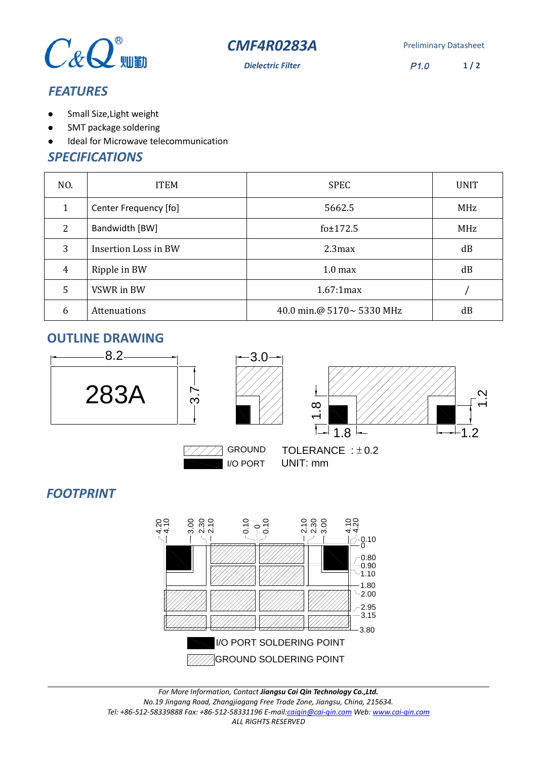



**Dielectric Filter** P1.0

**1 / 2**

## *FEATURES*

- $\bullet$ Small Size,Light weight
- $\bullet$ SMT package soldering
- Ideal for Microwave telecommunication

### *SPECIFICATIONS*

| NO.            | <b>ITEM</b>           | <b>SPEC</b>               | <b>UNIT</b> |
|----------------|-----------------------|---------------------------|-------------|
|                | Center Frequency [fo] | 5662.5                    | MHz         |
| 2              | Bandwidth [BW]        | fo±172.5                  | MHz         |
| 3              | Insertion Loss in BW  | 2.3 <sub>max</sub>        | dB          |
| $\overline{4}$ | Ripple in BW          | 1.0 <sub>max</sub>        | dB          |
| 5              | VSWR in BW            | 1.67:1max                 |             |
| 6              | <b>Attenuations</b>   | 40.0 min.@ 5170~ 5330 MHz | dB          |

## **OUTLINE DRAWING**





TOLERANCE :  $\pm$  0.2 I/O PORT UNIT: mm

# *FOOTPRINT*